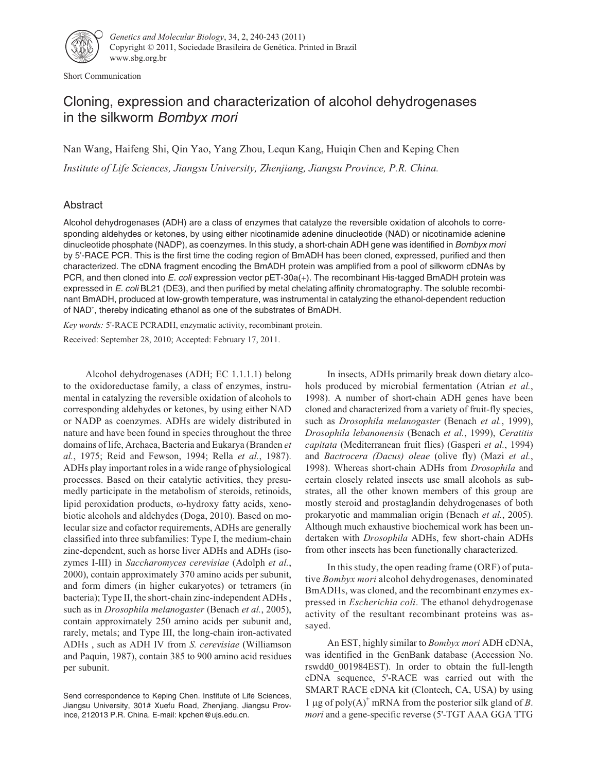

Short Communication

# Cloning, expression and characterization of alcohol dehydrogenases in the silkworm Bombyx mori

Nan Wang, Haifeng Shi, Qin Yao, Yang Zhou, Lequn Kang, Huiqin Chen and Keping Chen

*Institute of Life Sciences, Jiangsu University, Zhenjiang, Jiangsu Province, P.R. China.*

# Abstract

Alcohol dehydrogenases (ADH) are a class of enzymes that catalyze the reversible oxidation of alcohols to corresponding aldehydes or ketones, by using either nicotinamide adenine dinucleotide (NAD) or nicotinamide adenine dinucleotide phosphate (NADP), as coenzymes. In this study, a short-chain ADH gene was identified in Bombyx mori by 5'-RACE PCR. This is the first time the coding region of BmADH has been cloned, expressed, purified and then characterized. The cDNA fragment encoding the BmADH protein was amplified from a pool of silkworm cDNAs by PCR, and then cloned into E. coli expression vector pET-30a(+). The recombinant His-tagged BmADH protein was expressed in E. coli BL21 (DE3), and then purified by metal chelating affinity chromatography. The soluble recombinant BmADH, produced at low-growth temperature, was instrumental in catalyzing the ethanol-dependent reduction of NAD<sup>+</sup>, thereby indicating ethanol as one of the substrates of BmADH.

*Key words:* 5'-RACE PCRADH, enzymatic activity, recombinant protein. Received: September 28, 2010; Accepted: February 17, 2011.

Alcohol dehydrogenases (ADH; EC 1.1.1.1) belong to the oxidoreductase family, a class of enzymes, instrumental in catalyzing the reversible oxidation of alcohols to corresponding aldehydes or ketones, by using either NAD or NADP as coenzymes. ADHs are widely distributed in nature and have been found in species throughout the three domains of life, Archaea, Bacteria and Eukarya (Branden *et al.*, 1975; Reid and Fewson, 1994; Rella *et al.*, 1987). ADHs play important roles in a wide range of physiological processes. Based on their catalytic activities, they presumedly participate in the metabolism of steroids, retinoids, lipid peroxidation products,  $\omega$ -hydroxy fatty acids, xenobiotic alcohols and aldehydes (Doga, 2010). Based on molecular size and cofactor requirements, ADHs are generally classified into three subfamilies: Type I, the medium-chain zinc-dependent, such as horse liver ADHs and ADHs (isozymes I-III) in *Saccharomyces cerevisiae* (Adolph *et al.*, 2000), contain approximately 370 amino acids per subunit, and form dimers (in higher eukaryotes) or tetramers (in bacteria); Type II, the short-chain zinc-independent ADHs , such as in *Drosophila melanogaster* (Benach *et al.*, 2005), contain approximately 250 amino acids per subunit and, rarely, metals; and Type III, the long-chain iron-activated ADHs , such as ADH IV from *S. cerevisiae* (Williamson and Paquin, 1987), contain 385 to 900 amino acid residues per subunit.

In insects, ADHs primarily break down dietary alcohols produced by microbial fermentation (Atrian *et al.*, 1998). A number of short-chain ADH genes have been cloned and characterized from a variety of fruit-fly species, such as *Drosophila melanogaster* (Benach *et al.*, 1999), *Drosophila lebanonensis* (Benach *et al.*, 1999), *Ceratitis capitata* (Mediterranean fruit flies) (Gasperi *et al.*, 1994) and *Bactrocera (Dacus) oleae* (olive fly) (Mazi *et al.*, 1998). Whereas short-chain ADHs from *Drosophila* and certain closely related insects use small alcohols as substrates, all the other known members of this group are mostly steroid and prostaglandin dehydrogenases of both prokaryotic and mammalian origin (Benach *et al.*, 2005). Although much exhaustive biochemical work has been undertaken with *Drosophila* ADHs, few short-chain ADHs from other insects has been functionally characterized.

In this study, the open reading frame (ORF) of putative *Bombyx mori* alcohol dehydrogenases, denominated BmADHs, was cloned, and the recombinant enzymes expressed in *Escherichia coli*. The ethanol dehydrogenase activity of the resultant recombinant proteins was assayed.

An EST, highly similar to *Bombyx mori* ADH cDNA, was identified in the GenBank database (Accession No. rswdd0\_001984EST). In order to obtain the full-length cDNA sequence, 5'-RACE was carried out with the SMART RACE cDNA kit (Clontech, CA, USA) by using 1 µg of poly $(A)^+$  mRNA from the posterior silk gland of *B*. *mori* and a gene-specific reverse (5'-TGT AAA GGA TTG

Send correspondence to Keping Chen. Institute of Life Sciences, Jiangsu University, 301# Xuefu Road, Zhenjiang, Jiangsu Province, 212013 P.R. China. E-mail: kpchen@ujs.edu.cn.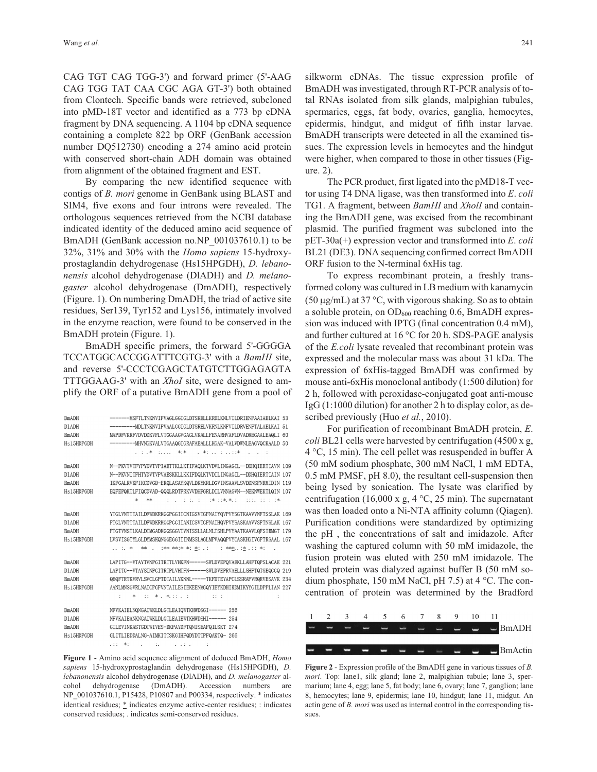CAG TGT CAG TGG-3') and forward primer (5'-AAG CAG TGG TAT CAA CGC AGA GT-3') both obtained from Clontech. Specific bands were retrieved, subcloned into pMD-18T vector and identified as a 773 bp cDNA fragment by DNA sequencing. A 1104 bp cDNA sequence containing a complete 822 bp ORF (GenBank accession number DQ512730) encoding a 274 amino acid protein with conserved short-chain ADH domain was obtained from alignment of the obtained fragment and EST.

By comparing the new identified sequence with contigs of *B. mori* genome in GenBank using BLAST and SIM4, five exons and four introns were revealed. The orthologous sequences retrieved from the NCBI database indicated identity of the deduced amino acid sequence of BmADH (GenBank accession no.NP\_001037610.1) to be 32%, 31% and 30% with the *Homo sapiens* 15-hydroxyprostaglandin dehydrogenase (Hs15HPGDH), *D. lebanonensis* alcohol dehydrogenase (DlADH) and *D. melanogaster* alcohol dehydrogenase (DmADH), respectively (Figure. 1). On numbering DmADH, the triad of active site residues, Ser139, Tyr152 and Lys156, intimately involved in the enzyme reaction, were found to be conserved in the BmADH protein (Figure. 1).

BmADH specific primers, the forward 5'-GGGGA TCCATGGCACCGGATTTCGTG-3' with a *BamHI* site, and reverse 5'-CCCTCGAGCTATGTCTTGGAGAGTA TTTGGAAG-3' with an *XhoI* site, were designed to amplify the ORF of a putative BmADH gene from a pool of

| DmADH        | -------MSFTLTNKNVIFVAGLGGIGLDTSKELLKRDLKNLVILDRIENPAAIAELKAI 53  |  |
|--------------|------------------------------------------------------------------|--|
| D1 ADH       | ---------MDLTNKNVTFVAALGGTGLDTSRFLVKRNLKNFVTLDRVFNPTALAFLKA T_51 |  |
| BmADH        | MAPDFVKRFVDVDDKVFLVTGGAAGVGAGLVKALLFENARHVAFLDVADREGAALEAQLI 60  |  |
| Hs15HDPGDH   | ---------MHVNGKVALVTGAAQGIGRAFAEALLLKGAK-VALVDWNLEAGVQCKAALD 50  |  |
|              | 1 *1 .1 1 .11 :1*<br>2010年10月10日 米1米                             |  |
| DmADH        |                                                                  |  |
|              | N--PKVTVTFYPYDVTVPIAETTKLLKTIFAQLKTVDVLINGAGIL--DDHQIERTIAVN 109 |  |
| D1ADH        | N--PKVNITFHTYDVTVPVAESKKLLKKIFDQLKTVDILINGAGIL--DDHQIERTIAIN 107 |  |
| BmADH        | IKFGALRVKFIKCDVGD-ERQLASAYKQVLDKYKRLDGVINSAAVLSVDDNSFNRMIDIN 119 |  |
| Hs15HDPGDH   | EQFEPQKTLFIQCDVAD-QQQLRDTFRKVVDHFGRLDILVNNAGVN--NEKNWEKTLQIN 107 |  |
|              | $\star$<br>skok                                                  |  |
| DmADH        | YTGLVNTTTAILDFWDKRKGGPGGIICNIGSVTGFNAIYQVPVYSGTKAAVVNFTSSLAK 169 |  |
| D1ADH        | FTGLVNTTTAILDFWDKRKGGPGGIIANICSVTGFNAIHQVPVYSASKAAVVSFTNSLAK 167 |  |
| <b>BmADH</b> | FTGTVNSTLKALDIMGADKGGSGGVIVNISSLLALNLTSHLPVYAATKAAVLQFSIRMGT 179 |  |
| Hs15HDPGDH   | LVSVISGTYLGLDYMSKQNGGEGGIIINMSSLAGLMPVAQQPVYCASKHGIVGFTRSAAL 167 |  |
|              | 1. 1. * ** . 1** **(* *1 *1 . 1 ***. . 1* . 11 *1                |  |
|              |                                                                  |  |
| DmADH        | LAPITG--VTAYTVNPGITRTTLVHKFN-----SWLDVEPQVAEKLLAHPTQPSLACAE 221  |  |
| D1ADH        | LAPITG--VTAYSINPGITRTPLVHTFN-----SWLDVEPRVAELLLSHPTQTSEQCGQ 219  |  |
| <b>BmADH</b> | QEQFTRTKVRVLSVCLGPTDTAILYKNNL----TKFDTEYAPCLSSRAPVRQRVESAVK 234  |  |
| Hs15HDPGDH   | AANLMNSGVRLNAICPGFVNTAILESIEKEENMGQYIEYKDHIKDMIKYYGILDPPLIAN 227 |  |
|              | 米 11 米、米11 . 1<br>$\mathbb{R}^n$<br>$\mathbb{R}^n$               |  |
| DmADH        | NFVKAIELNONGAIWKLDLGTLEAIOWTKHWDSGI----- 256                     |  |
| D1ADH        | NFVKAIEANKNGAIWKLDLGTLEAIEWTKHWDSHI----- 254                     |  |
| <b>BmADH</b> | GILEVINKASTGDTWIVES-DKPAYDFTQNISEAFQILSKT 274                    |  |
| Hs15HDPGDH   | GLITLIEDDALNG-AIMKITTSKGIHFQDYDTTPFQAKTQ- 266                    |  |
|              |                                                                  |  |
|              | $.11 *1$<br>٠.<br>1.111                                          |  |

**Figure 1** - Amino acid sequence alignment of deduced BmADH, *Homo sapiens* 15-hydroxyprostaglandin dehydrogenase (Hs15HPGDH), *D. lebanonensis* alcohol dehydrogenase (DlADH), and *D. melanogaster* alcohol dehydrogenase (DmADH). Accession numbers are NP\_001037610.1, P15428, P10807 and P00334, respectively. \* indicates identical residues; \* indicates enzyme active-center residues; : indicates conserved residues; . indicates semi-conserved residues.

silkworm cDNAs. The tissue expression profile of BmADH was investigated, through RT-PCR analysis of total RNAs isolated from silk glands, malpighian tubules, spermaries, eggs, fat body, ovaries, ganglia, hemocytes, epidermis, hindgut, and midgut of fifth instar larvae. BmADH transcripts were detected in all the examined tissues. The expression levels in hemocytes and the hindgut were higher, when compared to those in other tissues (Figure. 2).

The PCR product, first ligated into the pMD18-T vector using T4 DNA ligase, was then transformed into *E*. *coli* TG1. A fragment, between *BamHI* and *XholI* and containing the BmADH gene, was excised from the recombinant plasmid. The purified fragment was subcloned into the pET-30a(+) expression vector and transformed into *E*. *coli* BL21 (DE3). DNA sequencing confirmed correct BmADH ORF fusion to the N-terminal 6xHis tag.

To express recombinant protein, a freshly transformed colony was cultured in LB medium with kanamycin (50  $\mu$ g/mL) at 37 °C, with vigorous shaking. So as to obtain a soluble protein, on  $OD_{600}$  reaching 0.6, BmADH expression was induced with IPTG (final concentration 0.4 mM), and further cultured at 16 °C for 20 h. SDS-PAGE analysis of the *E.coli* lysate revealed that recombinant protein was expressed and the molecular mass was about 31 kDa. The expression of 6xHis-tagged BmADH was confirmed by mouse anti-6xHis monoclonal antibody (1:500 dilution) for 2 h, followed with peroxidase-conjugated goat anti-mouse IgG (1:1000 dilution) for another 2 h to display color, as described previously (Huo *et al.*, 2010).

For purification of recombinant BmADH protein, *E*. *coli* BL21 cells were harvested by centrifugation (4500 x g, 4 °C, 15 min). The cell pellet was resuspended in buffer A (50 mM sodium phosphate, 300 mM NaCl, 1 mM EDTA, 0.5 mM PMSF, pH 8.0), the resultant cell-suspension then being lysed by sonication. The lysate was clarified by centrifugation (16,000 x g, 4  $\degree$ C, 25 min). The supernatant was then loaded onto a Ni-NTA affinity column (Qiagen). Purification conditions were standardized by optimizing the pH , the concentrations of salt and imidazole. After washing the captured column with 50 mM imidazole, the fusion protein was eluted with 250 mM imidazole. The eluted protein was dialyzed against buffer B (50 mM sodium phosphate, 150 mM NaCl, pH 7.5) at 4 °C. The concentration of protein was determined by the Bradford



**Figure 2** - Expression profile of the BmADH gene in various tissues of *B. mori*. Top: lane1, silk gland; lane 2, malpighian tubule; lane 3, spermarium; lane 4, egg; lane 5, fat body; lane 6, ovary; lane 7, ganglion; lane 8, hemocytes; lane 9, epidermis; lane 10, hindgut; lane 11, midgut. An actin gene of *B. mori* was used as internal control in the corresponding tissues.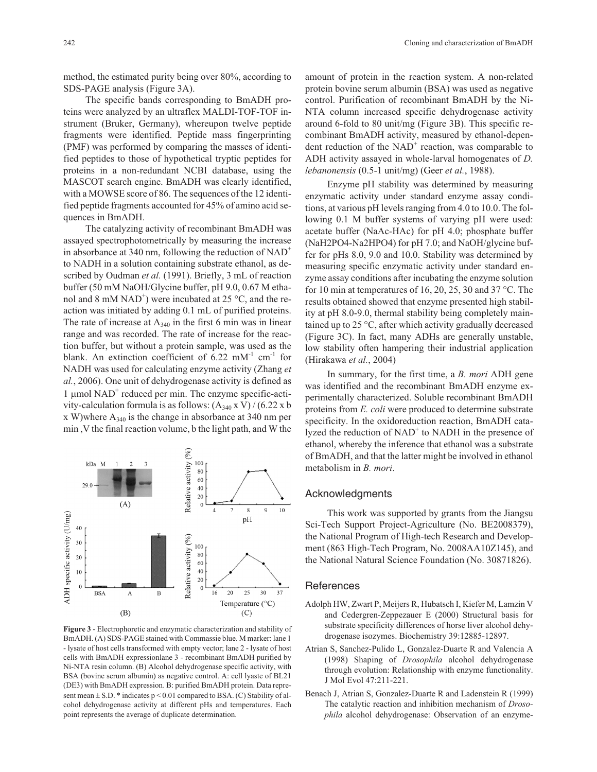method, the estimated purity being over 80%, according to SDS-PAGE analysis (Figure 3A).

The specific bands corresponding to BmADH proteins were analyzed by an ultraflex MALDI-TOF-TOF instrument (Bruker, Germany), whereupon twelve peptide fragments were identified. Peptide mass fingerprinting (PMF) was performed by comparing the masses of identified peptides to those of hypothetical tryptic peptides for proteins in a non-redundant NCBI database, using the MASCOT search engine. BmADH was clearly identified, with a MOWSE score of 86. The sequences of the 12 identified peptide fragments accounted for 45% of amino acid sequences in BmADH.

The catalyzing activity of recombinant BmADH was assayed spectrophotometrically by measuring the increase in absorbance at 340 nm, following the reduction of  $NAD^+$ to NADH in a solution containing substrate ethanol, as described by Oudman *et al.* (1991). Briefly, 3 mL of reaction buffer (50 mM NaOH/Glycine buffer, pH 9.0, 0.67 M ethanol and 8 mM NAD<sup>+</sup>) were incubated at 25  $\rm{^{\circ}C},$  and the reaction was initiated by adding 0.1 mL of purified proteins. The rate of increase at  $A_{340}$  in the first 6 min was in linear range and was recorded. The rate of increase for the reaction buffer, but without a protein sample, was used as the blank. An extinction coefficient of  $6.22 \text{ mM}^{-1} \text{ cm}^{-1}$  for NADH was used for calculating enzyme activity (Zhang *et al.*, 2006). One unit of dehydrogenase activity is defined as 1  $\mu$ mol NAD<sup>+</sup> reduced per min. The enzyme specific-activity-calculation formula is as follows:  $(A_{340} \times V)/(6.22 \times b)$  $x$  W)where  $A_{340}$  is the change in absorbance at 340 nm per min ,V the final reaction volume, b the light path, and W the



**Figure 3** - Electrophoretic and enzymatic characterization and stability of BmADH. (A) SDS-PAGE stained with Commassie blue. M marker: lane 1 - lysate of host cells transformed with empty vector; lane 2 - lysate of host cells with BmADH expressionlane 3 - recombinant BmADH purified by Ni-NTA resin column. (B) Alcohol dehydrogenase specific activity, with BSA (bovine serum albumin) as negative control. A: cell lyaste of BL21 (DE3) with BmADH expression. B: purified BmADH protein. Data represent mean  $\pm$  S.D. \* indicates p < 0.01 compared to BSA. (C) Stability of alcohol dehydrogenase activity at different pHs and temperatures. Each point represents the average of duplicate determination.

amount of protein in the reaction system. A non-related protein bovine serum albumin (BSA) was used as negative control. Purification of recombinant BmADH by the Ni-NTA column increased specific dehydrogenase activity around 6-fold to 80 unit/mg (Figure 3B). This specific recombinant BmADH activity, measured by ethanol-dependent reduction of the  $NAD<sup>+</sup>$  reaction, was comparable to ADH activity assayed in whole-larval homogenates of *D. lebanonensis* (0.5-1 unit/mg) (Geer *et al.*, 1988).

Enzyme pH stability was determined by measuring enzymatic activity under standard enzyme assay conditions, at various pH levels ranging from 4.0 to 10.0. The following 0.1 M buffer systems of varying pH were used: acetate buffer (NaAc-HAc) for pH 4.0; phosphate buffer (NaH2PO4-Na2HPO4) for pH 7.0; and NaOH/glycine buffer for pHs 8.0, 9.0 and 10.0. Stability was determined by measuring specific enzymatic activity under standard enzyme assay conditions after incubating the enzyme solution for 10 min at temperatures of 16, 20, 25, 30 and 37 °C. The results obtained showed that enzyme presented high stability at pH 8.0-9.0, thermal stability being completely maintained up to 25 °C, after which activity gradually decreased (Figure 3C). In fact, many ADHs are generally unstable, low stability often hampering their industrial application (Hirakawa *et al.*, 2004)

In summary, for the first time, a *B. mori* ADH gene was identified and the recombinant BmADH enzyme experimentally characterized. Soluble recombinant BmADH proteins from *E. coli* were produced to determine substrate specificity. In the oxidoreduction reaction, BmADH catalyzed the reduction of  $NAD<sup>+</sup>$  to NADH in the presence of ethanol, whereby the inference that ethanol was a substrate of BmADH, and that the latter might be involved in ethanol metabolism in *B. mori*.

## Acknowledgments

This work was supported by grants from the Jiangsu Sci-Tech Support Project-Agriculture (No. BE2008379), the National Program of High-tech Research and Development (863 High-Tech Program, No. 2008AA10Z145), and the National Natural Science Foundation (No. 30871826).

### References

- Adolph HW, Zwart P, Meijers R, Hubatsch I, Kiefer M, Lamzin V and Cedergren-Zeppezauer E (2000) Structural basis for substrate specificity differences of horse liver alcohol dehydrogenase isozymes. Biochemistry 39:12885-12897.
- Atrian S, Sanchez-Pulido L, Gonzalez-Duarte R and Valencia A (1998) Shaping of *Drosophila* alcohol dehydrogenase through evolution: Relationship with enzyme functionality. J Mol Evol 47:211-221.
- Benach J, Atrian S, Gonzalez-Duarte R and Ladenstein R (1999) The catalytic reaction and inhibition mechanism of *Drosophila* alcohol dehydrogenase: Observation of an enzyme-